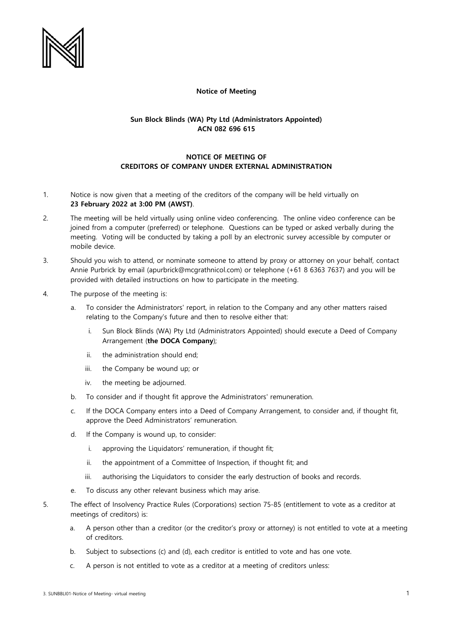

## **Notice of Meeting**

## **Sun Block Blinds (WA) Pty Ltd (Administrators Appointed) ACN 082 696 615**

## **NOTICE OF MEETING OF CREDITORS OF COMPANY UNDER EXTERNAL ADMINISTRATION**

- 1. Notice is now given that a meeting of the creditors of the company will be held virtually on **23 February 2022 at 3:00 PM (AWST)**.
- 2. The meeting will be held virtually using online video conferencing. The online video conference can be joined from a computer (preferred) or telephone. Questions can be typed or asked verbally during the meeting. Voting will be conducted by taking a poll by an electronic survey accessible by computer or mobile device.
- 3. Should you wish to attend, or nominate someone to attend by proxy or attorney on your behalf, contact Annie Purbrick by email (apurbrick@mcgrathnicol.com) or telephone (+61 8 6363 7637) and you will be provided with detailed instructions on how to participate in the meeting.
- 4. The purpose of the meeting is:
	- a. To consider the Administrators' report, in relation to the Company and any other matters raised relating to the Company's future and then to resolve either that:
		- i. Sun Block Blinds (WA) Pty Ltd (Administrators Appointed) should execute a Deed of Company Arrangement (**the DOCA Company**);
		- ii. the administration should end;
		- iii. the Company be wound up; or
		- iv. the meeting be adjourned.
	- b. To consider and if thought fit approve the Administrators' remuneration.
	- c. If the DOCA Company enters into a Deed of Company Arrangement, to consider and, if thought fit, approve the Deed Administrators' remuneration.
	- d. If the Company is wound up, to consider:
		- i. approving the Liquidators' remuneration, if thought fit;
		- ii. the appointment of a Committee of Inspection, if thought fit; and
		- iii. authorising the Liquidators to consider the early destruction of books and records.
	- e. To discuss any other relevant business which may arise.
- 5. The effect of Insolvency Practice Rules (Corporations) section 75-85 (entitlement to vote as a creditor at meetings of creditors) is:
	- a. A person other than a creditor (or the creditor's proxy or attorney) is not entitled to vote at a meeting of creditors.
	- b. Subject to subsections (c) and (d), each creditor is entitled to vote and has one vote.
	- c. A person is not entitled to vote as a creditor at a meeting of creditors unless: